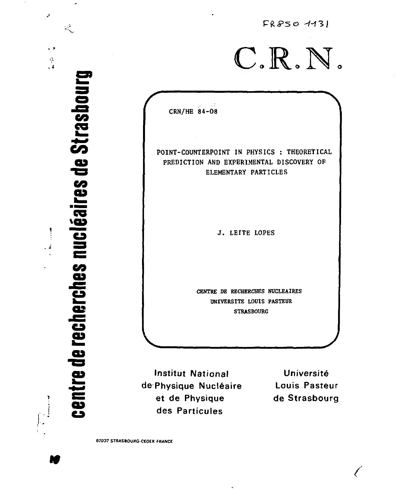$FR8504131$  $C.R.N.$ CRN/HE 84-08 POINT-COUNTERPOINT IN PHYSICS : THEORETICAL PREDICTION AND EXPERIMENTAL DISCOVERY OF ELEMENTARY PARTICLES J. LEITE LOPES CENTRE DE RECHERCHES NUCLEAIRES UNIVERSITE LOUIS PASTEUR **STRASBOURG** 

**Institut National** de Physique Nucléaire et de Physique des Particules

Université **Louis Pasteur** de Strasbourg

**67037 STRASBOURG-CEOEX FRANCE** 

centre de recherches nucléaires de Strasbourg

ز<br>نور با

 $\ddot{\phantom{1}}$ 

 $\frac{d}{2}$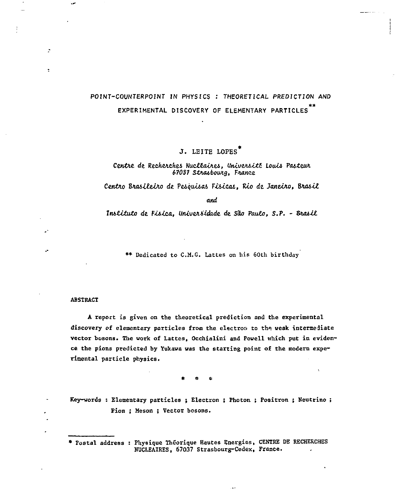## POINT-COUNTERPOINT IN PHYSICS : THEORETICAL PREDICTION AND EXPERIMENTAL DISCOVERY OF ELEMENTARY PARTICLES

## J. LEITE LOPES<sup>\*</sup>

## Centre de Recherches Nucléaires, Université Louis Pasteur 67037 Strasbourg, France

Centro Brasileiro de Pesquisas Fisicas, Rio de Janeiro, Brasil

and

Instituto de Fisica, Universidade de São Paulo, S.P. - Brasil

\*\* Dedicated to C.M.G. Lattes on his 60th birthday

## **ABSTRACT**

÷

 $\ddot{\phantom{0}}$ 

A report is given on the theoretical prediction and the experimental discovery of elementary particles from the electron to the weak intermediate vector bosons. The work of Lattes, Occhialini and Powell which put in evidence the pions predicted by Yukawa was the starting point of the modern experimental particle physics.

Key-words : Elementary particles ; Electron ; Photon ; Positron ; Neutrino ; Pion: Meson: Vector bosons.

\* Fostal address : Physique Théorique Hautes Energies, CENTRE DE RECHERCHES NUCLEAIRES, 67037 Strasbourg-Cedex, France.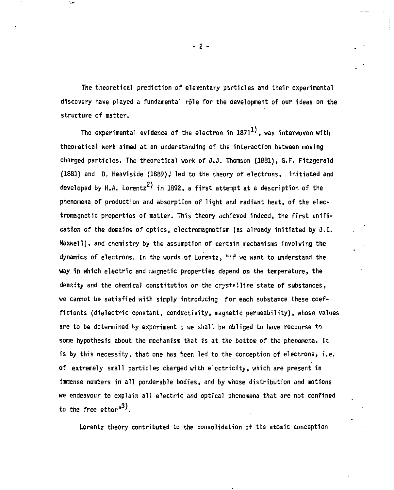**The theoretical prediction of elementary particles and their experimental discovery have played a fundamental rôle for the development of our ideas on the structure of matter.** 

**The experimental evidence of the electron in 1871 ', was interwoven with theoretical work aimed at an understanding of the interaction between moving charged particles. The theoretical work of** *J.Ô.* **Thomson (1881), G.F. Fitzgerald (1881) and 0. Heaviside (1889)***i* **led to the theory of electrons, initiated and**   $d$ eveloped by H.A. Lorentz<sup>2)</sup> in 1892, a first attempt at a description of the **phenomena of production and absorption of light and radiant heat, of the electromagnetic properties of matter. This theory achieved indeed, the first unification of the domains of optics, electromagnetism (as already initiated by J.C. Maxwell), and chemistry by the assumption of certain mechanisms involving the dynamics of electrons. In the words of Lorentz, "if we want to understand the way in which electric and magnetic properties depend on the temperature, the density and the chemical constitution or the crystalline state of substances, we cannot be satisfied with simply introducing for each substance these coefficients (dielectric constant, conductivity, magnetic permeability), whose values are to be determined by experiment ; we shall be obliged to have recourse to some hypothesis about the mechanism that is at the bottom of the phenomena. It is by this necessity, that one has been led to the conception of electrons, i.e. of extremely small particles charged with electricity, which are present in immense numbers in all ponderable bodies, and by whose distribution and motions we endeavour to explain all electric and optical phenomena that are not confined to the free ether"<sup>3</sup>'.** 

**Lorentz theory contributed to the consolidation of the atomic conception** 

**- 2**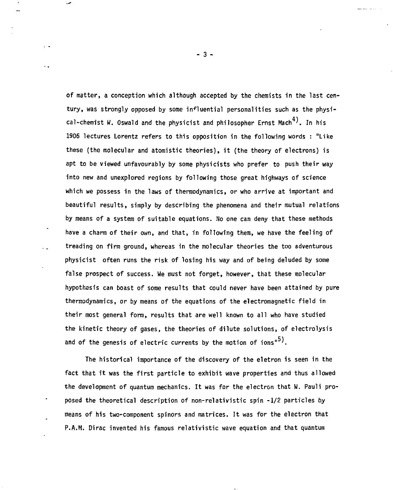**of matter, a conception which although accepted by the chemists in the last century, was strongly opposed by some influential personalities such as the physical-chemist W. Oswald and the physicist and philosopher Ernst Mach** *'.* **In his 1906 lectures Lorentz refers to this opposition in the following words : "Like these (the molecular and atomistic theories), it (the theory of electrons) is apt to be viewed unfavourably by some physicists who prefer to push their way into new and unexplored regions by following those great highways of science which we possess in the laws of thermodynamics, or who arrive at important and beautiful results, simply by describing the phenomena and their mutual relations by means of a system of suitable equations. No one can deny that these methods have a charm of their own, and that, in following them, we have the feeling of treading on firm ground, whereas in the molecular theories the too adventurous physicist often runs the risk of losing his way and of being deluded by some false prospect of success. We must not forget, however, that these molecular hypothesis can boast of some results that could never have been attained by pure thermodynamics, or by means of the equations of the electromagnetic field in their most general form, results that are well known to all who have studied the kinetic theory of gases, the theories of dilute solutions, of electrolysis**  and of the genesis of electric currents by the motion of ions"<sup>5)</sup>.

**The historical importance of the discovery of the eletron is seen in the fact that it was the first particle to exhibit wave properties and thus allowed the development of quantum mechanics. It was for the electron that W. Pauli proposed the theoretical description of non-relativistic spin -1/2 particles by means of his two-component spinors and matrices. It was for the electron that P.A.M. Dirac invented his famous relativistic wave equation and that quantum** 

**- 3**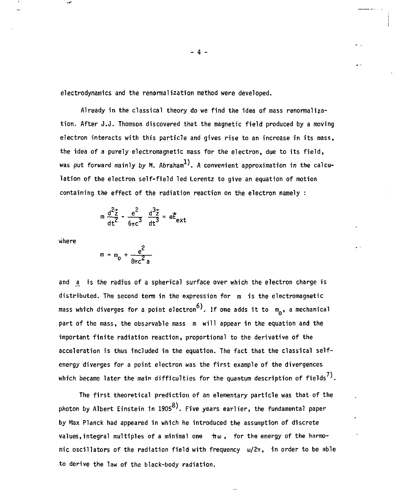**electrodynamics and the renormalization method were developed.** 

**Already in the classical theory do we find the idea of mass renormalization. After J.J. Thomson discovered that the magnetic field produced by a moving electron interacts with this particle and gives rise to an increase in its mass, the idea of a purely electromagnetic mass for the electron, due to its field,**  was put forward mainly by M. Abraham<sup>1)</sup>. A convenient approximation in the calcu**lation of the electron self-field led Lorentz to give an equation of motion containing the effect of the radiation reaction on the electron namely :** 

$$
m \frac{d^2 \vec{z}}{dt^2} - \frac{e^2}{6\pi c^3} \frac{d^3 \vec{z}}{dt^3} = e \vec{E}_{ext}
$$

**where** 

$$
m = m_0 + \frac{e^2}{8\pi c^2 a}
$$

**and a^ is the radius of a spherical surface over which the electron charge is distributed. The second term in the expression for m is the electromagnetic**  mass which diverges for a point electron<sup>6</sup>). If one adds it to m<sub>e</sub>, a mechanical **part of the mass, the obsarvable mass m will appear in the equation and the important finite radiation reaction, proportional to the derivative of the acceleration is thus included in the equation. The fact that the classical selfenergy diverges for a point electron was the first example of the divergences**  which became later the main difficulties for the quantum description of fields<sup>7</sup>).

**The first theoretical prediction of an elementary particle was that of the photon by Albert Einstein in 1905 '. Five years earlier, the fundamental paper by Max Planck had appeared in which he introduced the assumption of discrete**  values, integral multiples of a minimal one  $m \omega$ , for the energy of the harmonic oscillators of the radiation field with frequency  $\omega/2\pi$ , in order to be able **to derive the law of the black-body radiation.** 

**- 4 -**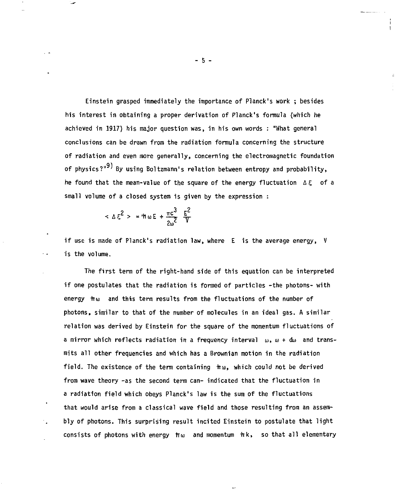Einstein grasped immediately the importance of Planck's work ; besides his interest in obtaining a proper derivation of Planck's formula (which he achieved in 1917) his major question was, in his own words : "What general conclusions can be drawn from the radiation formula concerning the structure of radiation and even more generally, concerning the electromagnetic foundation of physics?"<sup>9)</sup> By using Boltzmann's relation between entropy and probability, he found that the mean-value of the square of the energy fluctuation  $\Delta \xi$  of a small volume of a closed system is given by the expression :

$$
< \Delta \xi^2 > = \pm \omega E + \frac{\pi c^3}{2\omega^2} \frac{E^2}{V}
$$

**if use is made of Planck's radiation law, where E is the average energy, V is the volume.** 

**The first term of the right-hand side of this equation can be interpreted if one postulates that the radiation is formed of particles -the photons- with**  energy  $\pi\omega$  and this term results from the fluctuations of the number of **photons, similar to that of the number of molecules in an ideal gas. A similar relation was derived by Einstein for the square of the momentum fluctuations of**  a mirror which reflects radiation in a frequency interval  $\omega$ ,  $\omega$  + dw and trans**raits all other frequencies and which has a Brownian motion in the radiation field. The existence of the term containing irui, which could not be derived from wave theory -as the second term can- indicated that the fluctuation in a radiation field which obeys Planck's law is the sum of the fluctuations that would arise from a classical wave field and those resulting from an assembly of photons. This surprising result incited Einstein to postulate that light**  consists of photons with energy  $\hbar\omega$  and momentum  $\hbar k$ , so that all elementary

**- 5 -**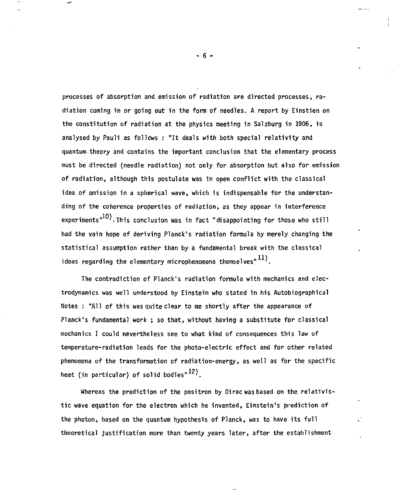**processes of absorption and emission of radiation are directed processes, radiation coming in or going out in the form of needles. A report by Einstien on the constitution of radiation at the physics meeting in Salzburg in 1906, is analysed by Pauli as follows : "It deals with both special relativity and quantum-theory and contains the important conclusion that the elementary process must be directed (needle radiation) not only for absorption but also for emission of radiation, although this postulate was 1n open conflict with the classical idea of emission in a spherical wave, which is indispensable for the understanding of the coherence properties of radiation, as they appear in interference**  experiments"<sup>10</sup>). This conclusion was in fact "disappointing for those who still **had the vain hope of deriving Planck's radiation formula by merely changing the statistical assumption rather than by a fundamental break with the classical ideas regarding the elementary microphenomena themselves" '.** 

**The contradiction of Planck's radiation formula with mechanics and electrodynamics was well understood by Einstein who stated in his Autobiographical Notes : "All of this was quite clear to me shortly after the appearance of Planck's fundamental work ; so that, without having a substitute for classical mechanics I could nevertheless see to what kind of consequences this law of temperature-radiation leads for the photo-electric effect and for other related phenomena of the transformation of radiation-energy, as well as for the specific**  heat (in particular) of solid bodies<sup>"12)</sup>.

**Whereas the prediction of the positron by Dirac was based on the relativistic wave equation for the electron which he invented, Einstein's prediction of the photon, based on the quantum hypothesis of Planck, was to have its full theoretical justification more than twenty years later, after the establishment** 

**- 6 -**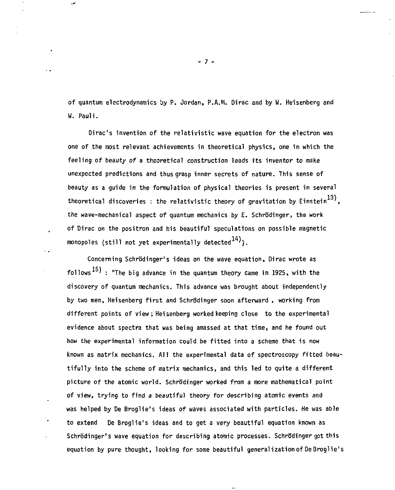of quantum electrodynamics by P. Jordan, P.A.M. Dirac and by W. Heisenberg and W. Pauli.

Dirac's invention of the relativistic wave equation for the electron was one of the most relevant achievements in theoretical physics, one in which the feeling of beauty of a theoretical construction leads its inventor to make unexpected predictions and thus grasp inner secrets of nature. This sense of beauty as a guide in the formulation of physical theories is present in several theoretical discoveries : the relativistic theory of gravitation by Einstein<sup>13)</sup>. the wave-mechanical aspect of quantum mechanics by E. Schrödinger, the work of Dirac on the positron and his beautiful speculations on possible magnetic monopoles (still not yet experimentally detected  $^{14}$ ).

Concerning Schrödinger's ideas on the wave equation, Dirac wrote as follows  $^{15}$  : "The big advance in the quantum theory came in 1925, with the discovery of quantum mechanics. This advance was brought about independently by two men, Heisenberg first and Schrb'dinger soon afterward , working from different points of view ; Heisenberg worked keeping close to the experimental evidence about spectra that was being amassed at that time, and he found out how the experimental information could be fitted into a scheme that is now known as matrix mechanics. All the experimental data of spectroscopy fitted beautifully into the scheme of matrix mechanics, and this led to quite a different picture of the atomic world. Schrodinger worked from a more mathematical point of view, trying to find a beautiful theory for describing atomic events and was helped by De Broglie's ideas of waves associated with particles. He was able to extend De Broglie's ideas and to get a very beautiful equation known as Schrödinger's wave equation for describing atomic processes. Schrödinger got this equation by pure thought, looking for some beautiful generalization of DeBroglie's

**- 7 -**

..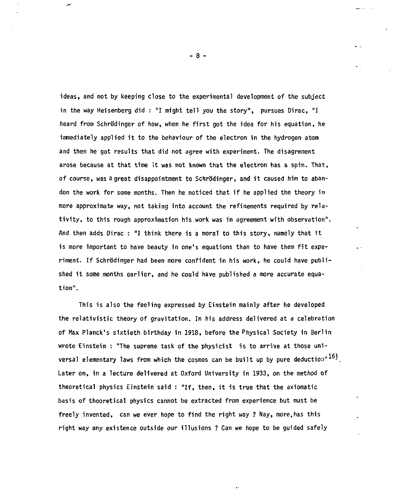**ideas, and not by keeping close to the experimental development of the subject in the way Heisenberg did : "I might tell you the story", pursues Dirac, "I**  heard from Schrödinger of how, when he first got the idea for his equation, he **immediately applied it to the behaviour of the electron in the hydrogen atom and then he got results that did not agree with experiment. The disagrement arose because at that time it was not known that the electron has a spin. That, of course, was a great disappointment to Schrb'dinger, and it caused him to abandon the work for some months. Then he noticed that if he applied the theory in more approximate way, not taking into account the refinements required by relativity, to this rough approximation his work was in agreement with observation". And then adds Dirac : "I think there is a moral to this story, namely that it is more important to have beauty in one's equations than to have them fit experiment. If Schrodinger had been more confident in his work, he could have published it some months earlier, and he could have published a more accurate equation".** 

**This is also the feeling expressed by Einstein mainly after he developed the relativistic theory of gravitation. In his address delivered at a celebration of Max Planck's sixtieth birthday in 1918, before the Physical Society in Berlin wrote Einstein : "The supreme task of the physicist is to arrive at those universal elementary laws from which the cosmos can be built up by pure deduction" Later on, in a lecture delivered at Oxford University in 1933, on the method of theoretical physics Einstein said : "If, then, it is true that the axiomatic basis of theoretical physics cannot be extracted from experience but must be freely invented, can we ever hope to find the right way ? Nay, more,has this right way any existence outside our illusions ? Can we hope to be guided safely** 

**- 8 -**

 $\sim$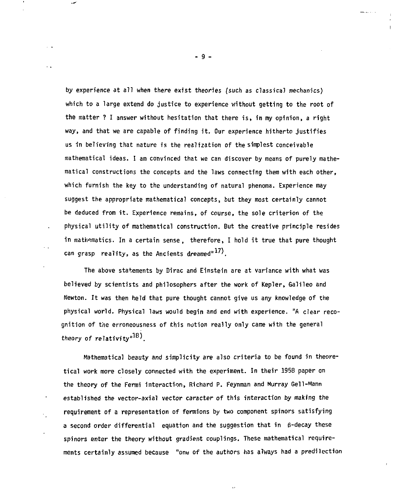**by experience at all when there exist theories (such as classical mechanics) which to a large extend do justice to experience without getting to the root of the matter ? I answer without hesitation that there is, in my opinion, a right way, and that we are capable of finding it. Our experience hitherto justifies us in believing that nature is the realization of the simplest conceivable mathematical ideas. I am convinced that we can discover by means of purely mathematical constructions the concepts and the laws connecting them with each other, which furnish the key to the understanding of natural phenoma. Experience may suggest the appropriate mathematical concepts, but they most certainly cannot be deduced from it. Experience remains, of course, the sole criterion of the physical utility of mathematical construction. But the creative principle resides in mathematics. In a certain sense, therefore, I hold it true that pure thought**  can grasp reality, as the Ancients dreamed<sup>"17)</sup>.

**The above statements by Dirac and Einstein are at variance with what was believed by scientists and philosophers after the work of Kepler, Galileo and Newton. It was then held that pure thought cannot give us any knowledge of the physical world. Physical laws would begin and end with experience. "A clear recognition of the erroneousness of this notion really only came with the general theory of relativity"1 8'.** 

 $\ddotsc$ 

**Mathematical beauty and simplicity are also criteria to be found in theoretical work more closely connected with the experiment. In their 1958 paper on the theory of the Fermi interaction, Richard P. Feynman and Murray Gell-Mann established the vector-axial vector caracter of this interaction by making the requirement of a representation of fermions by two component spinors satisfying a second order differential equation and the suggestion that in g-decay these spinors enter the theory without gradient couplings. These mathematical requirements certainly assumed because "one of the authors has always had a predilection** 

**- 9 -**

 $-11.1$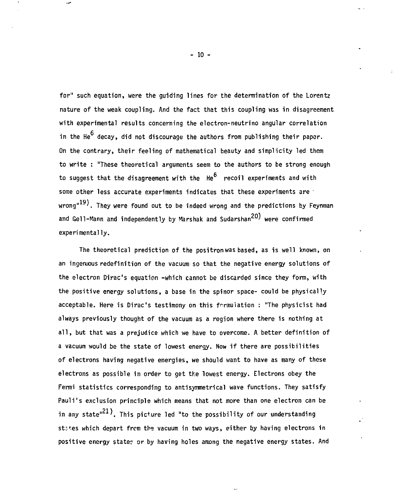**for" such equation, were the guiding lines for the determination of the Lorentz nature of the weak coupling. And the fact that this coupling was in disagreement with experimental results concerning the electron-neutrino angular correlation**  in the He<sup>6</sup> decay, did not discourage the authors from publishing their paper. **On the contrary, their feeling of mathematical beauty and simplicity led them to write : "These theoretical arguments seem to the authors to be strong enough**  to suggest that the disagreement with the He<sup>6</sup> recoil experiments and with **some other less accurate experiments indicates that these experiments are 191 wrong" '. They were found out to be indeed wrong and the predictions by Feynman and Gell-Mann and independently by Marshak and Sudarshan ' were confirmed experimentally.** 

**The theoretical prediction of the positron was based, as is well known, on an ingenuous redefinition of the vacuum so that the negative energy solutions of the electron Dirac's equation -which cannot be discarded since they form, with the positive energy solutions, a base in the spinor space- could be physically acceptable. Here is Dirac's testimony on this fr-rmuiation : "The physicist had always previously thought of the vacuum as a region where there is nothing at all, but that was a prejudice which we have to overcome. A better definition of a vacuum would be the state of lowest energy. Now if there are possibilities of electrons having negative energies, we should want to have as many of these electrons as possible in order to get the lowest energy. Electrons obey the Fermi statistics corresponding to antisymmetrical wave functions. They satisfy Pauli's exclusion principle which means that not more than one electron can be**  in any state"<sup>21</sup>). This picture led "to the possibility of our understanding **st:tes which depart from the vacuum in two ways, either by having electrons in positive energy stater or by having holes among the negative energy states. And** 

**- 10 -**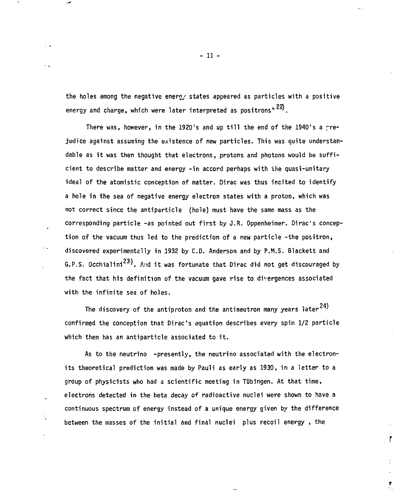**the holes among the negative energy states appeared as particles with a positive**  energy and charge, which were later interpreted as positrons<sup>"22</sup>).

There was, however, in the 1920's and up till the end of the 1940's a pre**judice against assuming the existence of new particles. This was quite understandable as it was then thought that electrons, protons and photons would be sufficient to describe matter and energy -in accord perhaps with the quasi-unitary ideal of the atomistic conception of matter. Dirac was thus incited to identify a hole in the sea of negative energy electron states with a proton, which was not correct since the antiparticle (hole) must have the same mass as the**  corresponding particle -as pointed out first by J.R. Oppenheimer. Dirac's concep**tion of the vacuum thus led to the prediction of a new particle -the positron,**  discovered experimentzlly in 1932 by C.D. Anderson and by P.M.S. Blackett and **6.P.S. Occhialini<sup>23</sup>, And it was fortunate that Dirac did not get discouraged by the fact that his definition of the vacuum gave rise to divergences associated with the infinite sea of holes.** 

The discovery of the antiproton and the antineutron many years later  $24$ ) **confirmed the conception that Dirac's equation describes every spin 1/2 particle which then has an antiparticle associated to it.** 

**As to the neutrino -presently, the neutrino associated with the electronits theoretical prediction was made by Pauli as early as 1930, in a letter to a group of physicists who had a scientific meeting in TUbingen. At that time, electrons detected in the beta decay of radioactive nuclei were shown to have a continuous spectrum of energy instead of a unique energy given by the difference between the masses of the initial and final nuclei plus recoil energy , the** 

ľ

 $\overline{\sigma}$ 

**-li**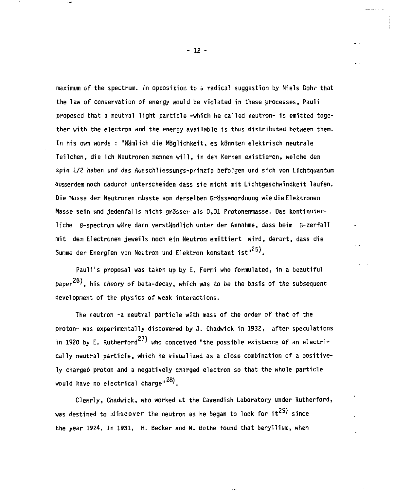**maximum of the spectrum, in opposition tc & radical suggestion by Niels Bohr that the law of conservation of energy would be violated in these processes, Pauli proposed that a neutral light particle -which he called neutron- is emitted together with the electron and the energy available is thus distributed between them. In his own words : "Namlich die MBglichkeit, es konnten elektrisch neutrale Teilchen, die ich Neutronen nennen will, in den Kernen existieren, welche den spin 1/2 haben und das Ausschliessungs-prinzip befolgen und sich von Lichtquantum ausserdem noch dadurch unterscheiden dass sie nicht mit Lichtgeschwindkeit laufen. Die Masse der Neutronen mllsste von derselben GrSssenordnung wiedie Elektronen**  Masse sein und jedenfalls nicht grösser als 0,01 Protonenmasse. Das kontinuierliche B-spectrum wäre dann verständlich unter der Annahme, dass beim B-zerfall **mit de.n Electronen jeweils noch ein Neutron emittiert wird, derart, dass die**  Summe der Energien von Neutron und Elektron konstant ist"<sup>25)</sup>.

**Pauli's proposal was taken up by E. Fermi who formulated, in a beautiful**  paper<sup>26)</sup>, his theory of beta-decay, which was to be the basis of the subsequent **development of the physics of weak interactions.** 

**The neutron -a neutral particle with mass of the order of that of the proton- was experimentally discovered by J. Chadwick in 1932, after speculations**  in 1920 by E. Rutherford<sup>27)</sup> who conceived "the possible existence of an electri**cally neutral particle, which he visualized as a close combination of a positively charged proton and a negatively charged electron so that the whole particle**  would have no electrical charge<sup>" 28</sup>).

**Clearly, Chadwick, who worked at the Cavendish Laboratory under Rutherford,**  was destined to discover the neutron as he began to look for it<sup>29)</sup> since **the year 1924. In 1931, H. Becker and W. Bothe found that beryllium, when** 

**- 12 -**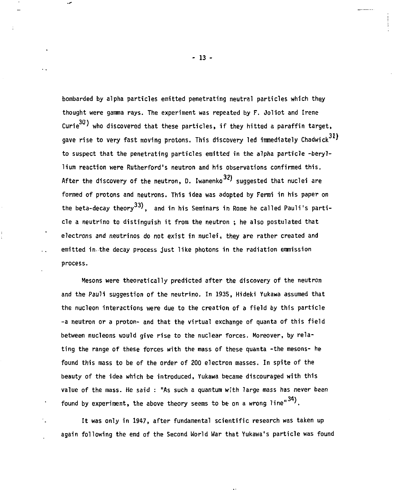**bombarded by alpha particles emitted penetrating neutral particles which they thought were gamma rays. The experiment was repeated by F. Joliot and Irene**   $\text{Curie}^{30}$  who discovered that these particles, if they hitted a paraffin target, **gave rise to very fast moving protons. This discovery led immediately Chadwick to suspect that the penetrating particles emitted in the alpha particle -beryllium reaction were Rutherford's neutron and his observations confirmed this.**  After the discovery of the neutron, D. Iwanenko<sup>32)</sup> suggested that nuclei are **formed of protons and neutrons. This idea was adopted by Fermi in his paper on**  the beta-decay theory<sup>33)</sup>, and in his Seminars in Rome he called Pauli's parti**cle a neutrino to distinguish it from the neutron ; he also postulated that electrons and neutrinos do not exist in nuclei, they are rather created and emitted in.the decay process just like photons in the radiation emmission process.** 

**Mesons were theoretically predicted after the discovery of the neutron and the Pauli suggestion of the neutrino. In 1935, Hideki Yukawa assumed that the nucléon interactions were due to the creation of a field by this particle -a neutron or a proton- and that the virtual exchange of quanta of this field**  between nucleons would give rise to the nuclear forces. Moreover, by rela**ting the range of these forces with the mass of these quanta -the mesons- he found this mass to be of the order of 200 electron masses. In spite of the beauty of the idea which be introduced, Yukawa became discouraged with this value of the mass. He said : "As such a quantum with large mass has** *never* **been**  found by experiment, the above theory seems to be on a wrong line"<sup>34</sup>).

 $\mathcal{L}^{\mathcal{L}}$ 

 $\mathcal{I}_\bullet$ 

**It was only in 1947, after fundamental scientific research was taken up again following the end of the Second World War that Yukawa's particle was found** 

**- 13 -**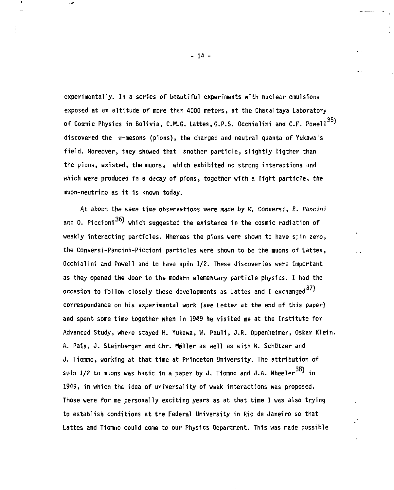**experimentally. In a series of beautiful experiments with nuclear emulsions exposed at an altitude of more than 4000 meters, at the Chacaltaya Laboratory**  of Cosmic Physics in Bolivia, C.M.G. Lattes, G.P.S. Occhialini and C.F. Powell<sup>35</sup>) **discovered the ir-mesons (pions), the charged and neutral quanta of Yukawa's field. Moreover, they showed that another particle, slightly ligther than the pions, existed, the muonss which exhibited no strong interactions and which were produced in a decay of pions, together with a light particle, the inuon-neutrino as it is known today.** 

**At about the same time observations were made by M. Conversi, E. Pancini**  and 0. Piccioni<sup>36</sup>) which suggested the existence in the cosmic radiation of **weakly interacting particles, whereas the pions were shown to have s;in zero, the Conversi-Pancini-Piccioni particles were shown to be :he muons of Lattes, Occhialini and Powell and to have spin 1/2. These discoveries were important as they opened the door to the modern elementary particle physics. I had the occasion to follow closely these developments as Lattes and I exchanged ' correspondance on his experimental work (see Letter at the end of this paper) and spent some time together when in 1949 he visited me at the Institute for Advanced Study, where stayed H. Yukawa, W. Pauli, J.R. Oppenheimer, Oskar Klein,**  A. Pais, J. Steinberger and Chr. Møller as well as with W. Schützer and **J. Tiomno, working at that time at Princeton University. The attribution of**  spin 1/2 to muons was basic in a paper by J. Tiomno and J.A. Wheeler<sup>38)</sup> in **1949, in which the idea of universality of weak interactions was proposed. Those were for me personally exciting years as at that time I was also trying to establish conditions at the Federal University in Rio de Janeiro so that Lattes and Tiomno could come to our Physics Department. This was made possible** 

**- 14**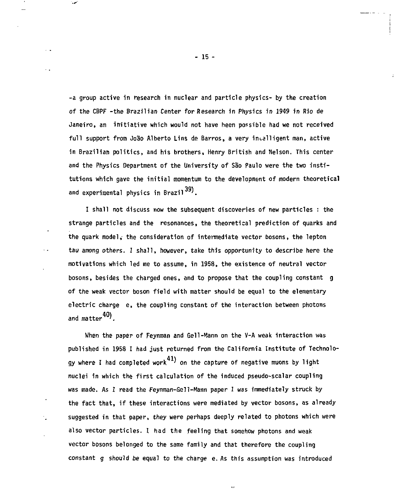**-a group active in research in nuclear and particle physics- by the creation of the CBPF -the Brazilian Center for Research in Physics in 1949 in Rio de Janeiro, an initiative which would not have been possible had we not received full support from Joâo Alberto Lins de Barros, a very intelligent man, active in Brazilian politics, and his brothers, Henry British and Nelson. This center and the Physics Department of the University of Sào Paulo were the two institutions which gave the initial momentum to the development of modern theoretical and experimental physics in Brazil** *'.* 

**I shall not discuss now the subsequent discoveries of new particles : the strange particles and the resonances, the theoretical prediction of quarks and the quark model,' the consideration of intermediate vector bosons, the lepton tau among others. I shall, however, take this opportunity to describe here the motivations which led me to assume, in 1958, the existence of neutral vector bosons, besides the charged ones, and to propose that the coupling constant g of the weak vector boson field with matter should be equal to the elementary electric charge e, the coupling constant of the interaction between photons**  and matter<sup>40</sup>).

**When the paper of Feynman and Gell-Mann on the V-A weak interaction was published in 1958 I had just returned from the California Institute of Technology where I had completed work ' on the capture of negative muons by light nuclei in which the first calculation of the induced pseudo-scalar coupling was made. As I read the Feynman-Gell-Mann paper I was immediately struck by the fact that, if these interactions were mediated by vector bosons, as already suggested in that paper, they were perhaps deeply related to photons which were also vector particles.** *I* **had the feeling that somehow photons and weak vector bosons belonged to the same family and that therefore the coupling constant g should be equal to the charge e. As this assumption was introduced** 

**- 15 -**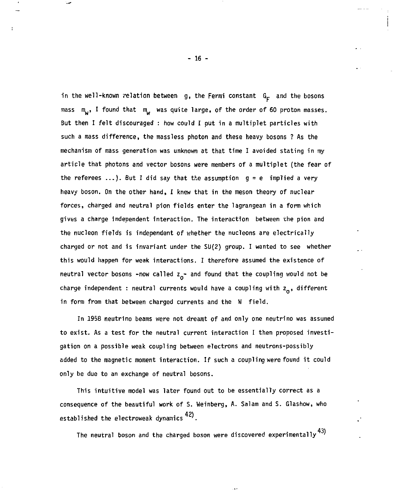in the well-known relation between g, the Fermi constant G<sub>F</sub> and the bosons mass m<sub>w</sub>, I found that m<sub>w</sub> was quite large, of the order of 60 proton masses. **Sut then I felt discouraged : how could I put in a multiplet particles with such a mass difference, the massless photon and these heavy bosons ? As the mechanism of mass generation was unknown at that time I avoided stating in my article that photons and vector bosons were members of a multiplet (the fear of the referees ...) . But I did say that the assumption g = e implied a very heavy boson. On the other hand, I knew that in the meson theory of nuclear forces, charged and neutral pion fields enter the lagrangean in a form which gives a charge independent interaction. The interaction between the pion and**  the nucleon fields is independent of whether the nucleons are electrically **charged or not and is invariant under the SU(2) group. I wanted to see whether this would happen for weak interactions. I therefore assumed the existence of**  neutral vector bosons -now called  $z_0$ - and found that the coupling would not be charge independent : neutral currents would have a coupling with z<sub>o</sub>, different **in form from that between charged currents and the W field.** 

**In 1958 neutrino beams were not dreamt of and only one neutrino was assumed to exist. As a test for the neutral current interaction I then proposed investigation on a possible weak coupling between electrons and neutrons-possibly added to the magnetic moment interaction. If such a coupling were found it could only be due to an exchange of neutral bosons.** 

**This intuitive model was later found out to be essentially correct as a consequence of the beautiful work of S. Weinberg, A. Salam and S. Glashow, who 421 established the electroweak dynamics '.** 

**43) The neutral boson and the charged boson were discovered experimentally '** 

**- 16 -**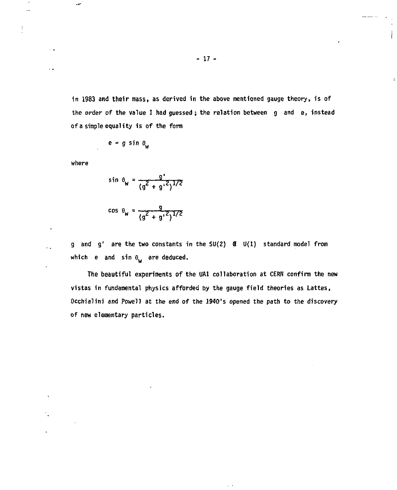**in 1983 and their mass, as derived in the above mentioned gauge theory, is of the order of the value I had guessed ; the relation between g and e, instead of a simple equality is of the form** 

$$
e = g \sin \theta_w
$$

**where** 

w

 $\ddot{\phantom{0}}$ 

 $\ddot{\phantom{0}}$ 

$$
\sin \theta_{w} = \frac{q'}{(q^{2} + q'^{2})^{1/2}}
$$

$$
\cos \theta_{\rm w} = \frac{g}{(g^2 + g'^2)^{1/2}}
$$

**g and g<sup>1</sup> are the two constants in the SU(2) B U{1) standard model from**  which e and sin  $\theta_w$  are deduced.

**The beautiful experiments of the UA1 collaboration at CERN confirm the new vistas in fundamental physics afforded by the gauge field theories as Lattes, Occhialini and Powell at the end of the 1940's opened the path to the discovery of new elementary particles.**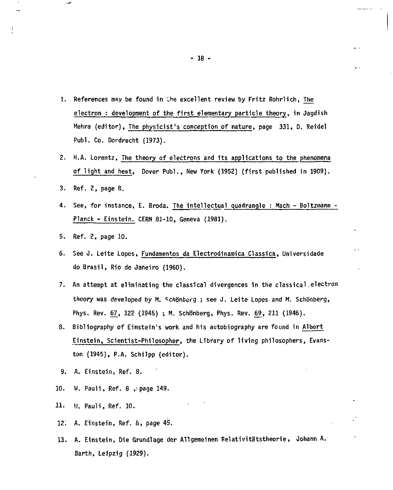- **1. References may be found in Ihe excellent review by Fritz Rohrlich, The electron : development of the first elementary particle theory, in Jagdish Mehra (editor), The physicist's conception of nature, page 331, D. Reidel Publ. Co. Dordrecht (1973).**
- **2. H.A. Lorentz, The theory of electrons and its applications to the phenomena of light and heat, Dover Publ., New York (1952) (first published in 1909).**
- **3. Ref. 2, page 8.**
- **4. See, for instance, E. Broda. Thé intellectual quadrangle : Mach Boltzmann - Planck - Einstein. CERN 81-1D, Geneva (1981).**
- **5. Ref. 2, page 10.**
- **6. See J. Leite Lopes, Fundamentos da Electrodinamica Classica, Universidade do Brasil, Rio de Janeiro (1960).**
- **7. An attempt at eliminating the classical divergences in the classical.electron**  theory was developed by M. Schönberg ; see J. Leite Lopes and M. Schönberg, Phys. Rev. 67, 122 (1945) ; M. Schönberg, Phys. Rev. 69, 211 (1946).
- **8. Bibliography of Einstein's work and his autobiography are found in Albert Einstein, Scientist-Philosopher, the Library of living philosophers, Evanston (1945), P.A. Schilpp (editor).**
- **9. A. Einstein, Ref. 8.**
- **10.** W. Pauli, Ref. 8 , page 149.
- **11. H. Pauli, Ref. 10.**
- **12; A. Einstein, Ref. 6, page 45.**
- **13. A. Einstein, Die Grundlage der Allgemeinen Relativitatstheorie, Oohann A. Barth, Leipzig (1929).**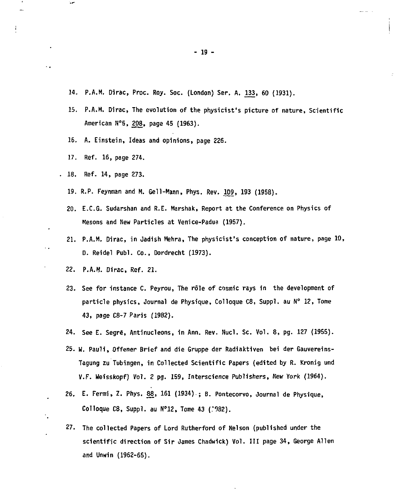- **14. P.A.M. Dirac, Proc. Roy. Soc. (London) Ser. A. 133, 60 (1931).**
- 15. P.A.M. Dirac, The evolution of the physicist's picture of nature, Scientific **American N°5, 208, page 45 (1963).**
- **16. A. Einstein, Ideas and opinions, page 226.**
- **17. Ref. 16, page 274.**

 $\ddot{\phantom{0}}$ 

 $\ddotsc$ 

۰.

- **18. Ref. 14, page 273.** 
	- **19. R.P. Feynman and H. Gell-Mann, Phys. Rev. 109, 193 (1958).**
	- **20. E.C.G. Sudarshan and R.E. Marshak, Report at the Conference on Physics of Mesons and New Particles at Venice-Padua (1957).**
	- **21. P.A.M. Dirac, in Jadish Mehra, The physicist's conception of nature, page 10, D. Reidel Publ. Co., Dordrecht (1973).**
	- **22. P.A.M. Dirac, Ref. 21.**
	- **23. See for instance C. Peyrou, The rôle of cosmic rays in the development of particle physics, Journal de Physique, Colloque C8, Suppl. au N° 12, Tome 43, page C8-7 Paris (1982).**
	- **24. See E. Segrë, Antinucleons, in Ann. Rev. Nucl. Sc. Vol. 8, pg. 127 (1955).**
	- **25. W. Pauli, Offener Brief and die Gruppe der Radiaktiven bei der Gauvereins-Tagung zu Tubingen, in Collected Scientific Papers (edited by R. Kronig und V.F. Weisskopf) Vol. 2 pg. 159, Interscience Publishers, New York (1964).**
	- **26. E. Fermi, Z. Phys. 88, 161 (1934).; B. Pontecorvo, Journal de Physique, Colloque C8, Suppl. au N»12, Tome 43 (.'982).**
	- **27. The collected Papers of Lord Rutherford of Nelson (published under the scientific direction of Sir James Chadwick) Vol. Ill page 34, George Allen and Unwin (1962-65).**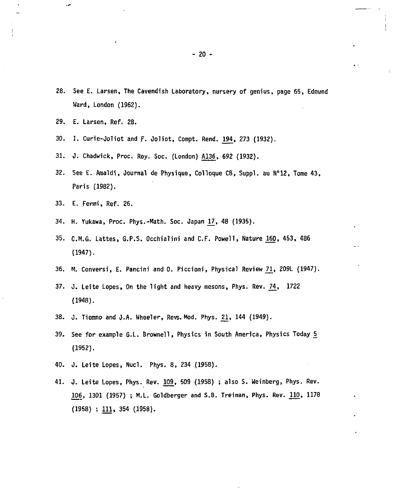- **28. See E. Larsen, The Cavendish Laboratory, nursery of genius, page 65, Edmund Ward, London (1962).**
- **29. E. Larsen, Ref. 28.**
- **30. I. Curie-Ooliot and** *f.* **Joliot, Compt. Rend. ^94, 273 (1932).**
- **31. J. Chadwick, Proc. Roy. Soc. (London) A136, 692 (1932).**
- **32. See E. Araaldi, Journal de Physique, Colloque C8, Suppl. au N°12, Tome 43, Paris (1982).**
- **33. E. Fermi, Ref. 26.**
- **34. H. Vukawa, Proc. Phys.-Hath. Soc. Japan J7. 48 (1935).**
- **35. C.M.G. Lattes, G.P.S. Occhialini and CF . Powell, Nature 160, 453, 486 (1947).**
- **36. H. Conversi, E. Pancini and 0. Piccioni, Physical Review** *Tl,* **209L (1947).**
- **37. J. Leite Lopes, On the light and heavy mesons, Phys. Rev. \_74, 172 2 (1948).**
- **38. J. Tiomno and J.A. Wheeler, Revs. Hod. Phys. 21, 144 (1949).**
- **39. See for example G.L. Brownell, Physics in South America, Physics Today 5\_ (1952).**
- **40. J. Leite Lopes, Nucl. Phys. 8, 234 (1958).**
- **41. J. Leite Lopes, Phys. Rev. 109, 509 (1958) ; also S. Weinberg, Phys. Rev. 106, 1301 (1957) i H.L. Goldberger and S.B. Treiman, Phys. Rev.** *UO,* **1178 (1958) ; 111, 354 (1958).**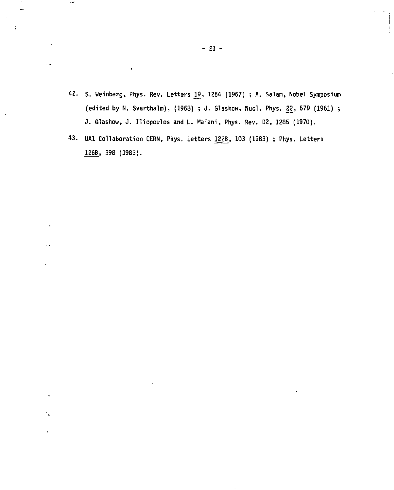- **42. S. Weinberg, Phys. Rev. Letters 22, 1264 (1967) ; A. Salam, Nobel Symposium (edited by N. Svarthalm), (1968) ; J. Glashow, Nucl. Phys. 22, 579 (1961) ; J. Glashow, J. Iliopoulos and L. Haiani, Phys. Rev. 02, 1285 (1970).**
- **43. UAl Collaboration CERN, Phys. Letters 122B, 103 (1983) ; Phys. Letters 126B, 398 (1983).**

د.

 $\ddot{\phantom{0}}$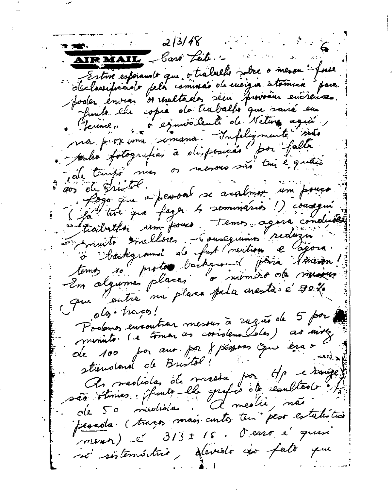$2/3/48$ ्रा कौराउन AIRMAIL baro Leib. Estre espianats que o trabable sabre o meson face poder envier os resultados seu proviña encreuse. Junte che opia de traballer que saisa eu . poulso fotografias à disposição por falla pale tempo mes or mesors sono tui è quais sos de Gristol. aos ou sur la person se acalmen un pouco in sommits sincellores - Gousequinis reduzion Stackground de fast (rentieu e Cagorn) que autre ma placa pela aresta é 30%  $o\mathfrak{b}$  traces! Podemos encontrar mesous à rague de 5 por minute. (e tomar as corrolenalsles) as more de 100 por aux por 8 persoas que era o standard de Bristol! A meslisla de masia por He essaige persola (travas mais curtos tem peso estalística menor) c' 313 ± 16. d'ens e' quan si sistemático, devido cao fato que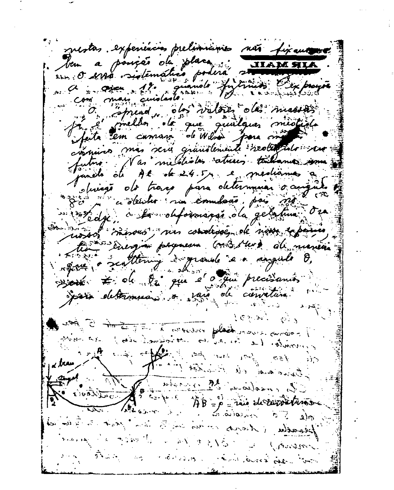mestas. experiencias prelimientes não fixantes Jem a posseão da placa **AIR MAIL** Jute 2 media des valors des massacions cipaires mas serie grandemente realitate ser tus. Nas mildestes atrices takenes. uncle of At de 24.5 yr e mediames olivego do traco para determinar o augu azion a deutro na comulcão, pois são ussos sussous, nu condidee, de nom expanses his energie permeum condisser du mener agent a realtering esperante en angule O. agent = de la que é que precisants join determinant à part de cimature  $1.62 \times 10^{-4}$ Je maleman a commentarial politica de la malemania de la forma de la forma de la forma de la forma de la forma<br>Je se la forma de la forma de la forma de la forma de la forma de la forma de la forma de la forma de la forma too for me pour pour sin Agent  $\rightarrow$  100 for any states of the morning I started of family of a property of the past the statement in the office the blag of the pépadu (Adria en sa sai 3 sant jant si Gratia where the country of the Night Control **Conservation** than an chairm of hard and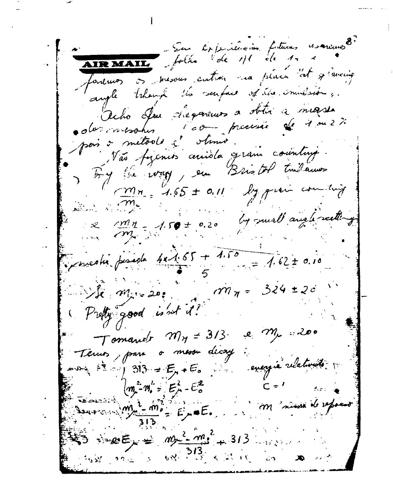Sur Criptianien fetuves escrivas fonemos os mesous cutron na placa at y aming angle then the senface of the smalesion . Ocho Ju degeneurs a stitu a messe l'obre processe de 1 ou 2% ola increase pois o método à stanio Vão fizencos cercida gram country. By the way, en Bristol Indannes  $\frac{m_{n}}{165}$  + 0.11 march 200 by small any lessetting  $\frac{1}{2}$   $\frac{1}{2}$   $\frac{1}{2}$   $\frac{1}{2}$   $\frac{1}{2}$   $\frac{1}{2}$   $\frac{1}{2}$   $\frac{1}{2}$   $\frac{1}{2}$   $\frac{1}{2}$   $\frac{1}{2}$   $\frac{1}{2}$   $\frac{1}{2}$   $\frac{1}{2}$   $\frac{1}{2}$   $\frac{1}{2}$   $\frac{1}{2}$   $\frac{1}{2}$   $\frac{1}{2}$   $\frac{1}{2}$   $\frac{1}{2}$   $\frac{1}{2}$  percedu pesada 4x1.65 + 1.50  $= 1.62 \pm 0.10$  $m_{\pi}$  = 324 ± 20  $\mathbb{Z}/k$   $m_{\mu}$  = 20: Pretty good is not it! Tomando  $m_{\eta}$  = 313 e  $m_{\mu}$  200 mesou decay Terms, para energia relativisto.  $f^* = 313 = E_1 + E_2$  $(m - m) = E_{\mu} - E_{\sigma}^2$  $m_{\mu}$ <sup>2</sup>  $m_{\rho}$  =  $E_{\mu}$  =  $E_{\mu}$  $\Rightarrow x \in \mathbb{R}$  =  $my^2 - m^2 + 313$  $-68$   $-213$   $+211$  $30 - 3$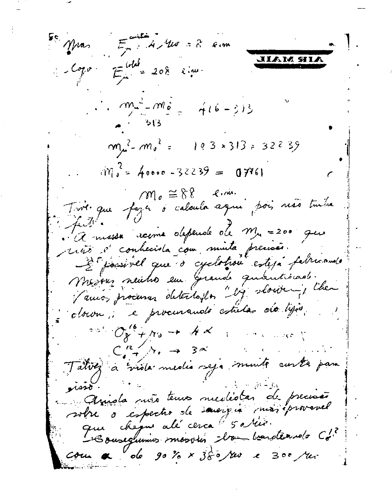$\mathbf{F}^e$  Mras  $\mathbf{F}^{\text{anti}}_n$  A Mw = 8 cm IAM 911.  $Log \circ E^{\text{total}}_{\mu} = 208$  Rine.  $m^2 - m_0^2 = m_0^2$   $4(6-3)3$  $m\mu^2 - m\mu^2 = 183 \times 313 = 32233$  $\sin^2$  = 40000 -32239 = 07761  $\omega$   $\approx$  8.8 cm. Tive que faza o calcula aqui poi, não tuda futi. A massa recome depende de M. = 200 que ricio d'conhecida com minta precisã. Deposited que o cyclotion esteja fabricando Mesoen neutro em Grande quantismo. Tamos procurar detectofon "by slowing the clown; e procurando estulas do ligio.  $\overline{C_{\chi}}^{\circ}$   $\mathcal{O}_{\chi}^{\circ}$  +  $\pi_{\delta}$  +  $\pi$  $C_{4}^{R}$  /  $\gamma_{1} \rightarrow 3$   $\approx$ Talvez à viola media seja munto curta para isso. Anida ruis tenus nuclidas de precisão votre o espectro de savergia marieprovavel  $\overline{\mathcal{C}\mathcal{S}}$ un a  $\overline{\mathcal{C}}$  ob  $\overline{\mathcal{G}}\mathcal{S}$  o  $\overline{\mathcal{S}}$  o  $\overline{\mathcal{S}}$  o  $\overline{\mathcal{S}}$  o  $\overline{\mathcal{S}}$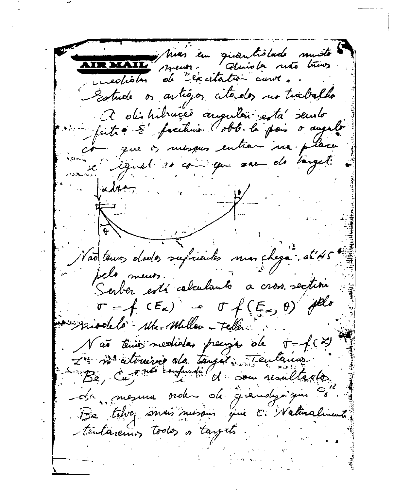Muas em quantistado muisto **IR MAIL** duriste não trois ment uncolistar de "excitation avunce Estude or artigor citados no trabalho a distribucció augular eta seulo putie 5' facilines dobb. la pais o angelo mesques entrar na place igual so com que san de larget.  $k$ ie ben Vão tenos dodos suficientes mas cheg pelo meur. Serber está calculanto  $= f(CE_{\kappa}) - \sigma f(E_{\kappa}, \theta)$ Friendale Me. Millen - Teller. Não tenior medioles preciso de  $\tau = f(x)$ In me atomive da tangée Teutanas Be, cu me consument de com resultado -da, mesura order de grandysique Be taken min nusan que C. Walinalument tentaremos todos os targets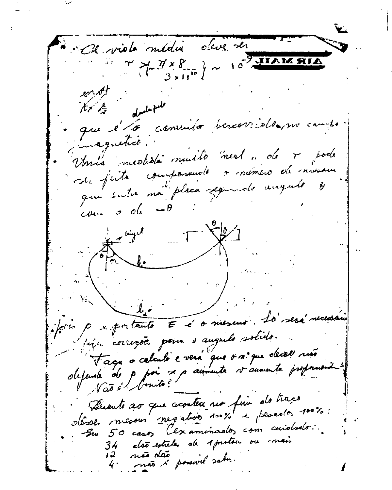A viole média dave ser  $\begin{pmatrix} 7 & \frac{77}{8} & \frac{77}{8} \\ \frac{77}{8} & \frac{16}{8} \end{pmatrix} \sim 10^{\frac{3}{8}}$ drol- peter que et a comunité percorridée no cambe inaguetico. Unia nicolida muito next n de + sode de faite componente manéro de missour que suta ma placa segundo unquelo  $\cos \sigma$  of  $-\theta$ ليهنعا ببر feirs paragentante E é o mesure la sera mecara bien corregões poin o augulo solido. Faga a celculo e verá que o m'que decel ruso obtende de p poi se p aumente vaumente proponent ? Persents ao que aconteu no fin do traco désses mesous negations nous e peredos 100%: Su 50 casos Cexaminados com cuidado: não dão x possivel sabo. 12.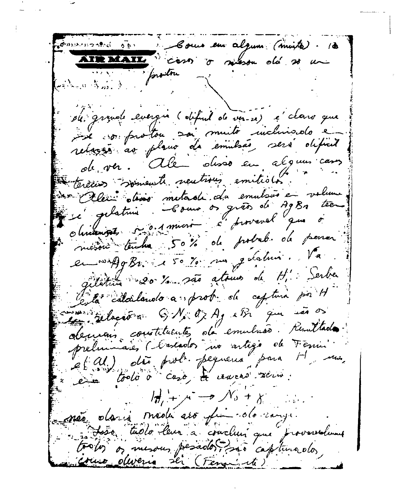James worked ago. Some en alguns (muito). (3 ATRACATE costs of meson old 20 un montre  $\mathcal{L} = \{ \mathcal{L}_1, \mathcal{L}_2, \ldots, \mathcal{L}_n \}$ de grande evergin (objetit de ver-2) à clars que se comprotou soi muito incluisado e de ver. Ale disso en alguns cars tercios somewh neutrous emitions. son Alexi otisso metade da emulsão en volume platin Como os grão de AgBn tee Obrigances 5-0.1 mars c'hoursval que à méson tendre 50% de probab de pouver en 1949 Br. le 50% mars destruir. Va gilletin 20 1 sats atoms de H. Serber le la calculando a prob de captura por H sure relaction GN. O. Ag else que ses os deman constituente, da emulsão. Remitada. préluimaies (Cascados no artigo de Fenin<br>et Al.) dis prob. pequena para H nus. en todo à caso, de causas securi- $\mathcal{M}_{\mathfrak{s}} + \mathcal{N}_{\mathfrak{s}} + \mathcal{N}_{\mathfrak{s}} + \mathcal{N}_{\mathfrak{s}}$ e não daria mada avo fin do cargo. Josso tudo leur a couclier que proverselvent trolos or mesous pesados são capturados, uno oliveria ser (Fena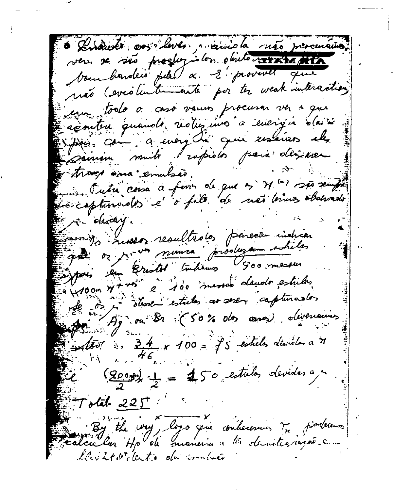Disample ans lever main la rigo presencias ver se são progleziolos objeto vivanta boundarders pela a. E' provente que não (everilentemente por to weak interaction) em todo o asó vamos procurar ver a que aconten quando reduzion a energia da se pass com a every du qui essaves els sainim muito rapidos para desinez traved sina emulsão. Se Tutte coisa a feror de que n 71 () são sempre sicapturados e o falo de mã brinos observado re elevely. parents resultedos parece indicar good or now numer produce estates pois en Bristol (inhermo 900 messes 100 n+roi à 100 messes dands estulos observe estates as sever capturarlos Ag on Br (50% des cases) divenances Solter : 34 x 100 = 95 estados devidos a 7  $\frac{(200\pi)}{2} = 450$  estates devides a m  $T$ otal  $225$ the way, logo you conherences in findermos calcular Hp ob maneria a tr demitronvia e ley it with duto du combina